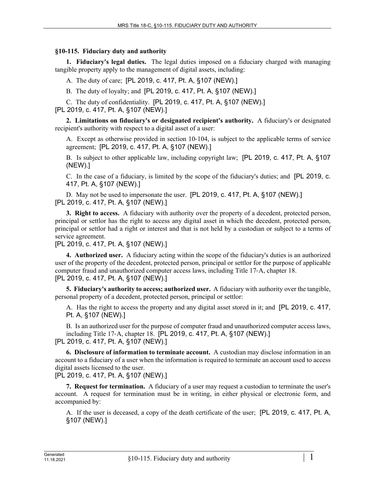## **§10-115. Fiduciary duty and authority**

**1. Fiduciary's legal duties.** The legal duties imposed on a fiduciary charged with managing tangible property apply to the management of digital assets, including:

A. The duty of care; [PL 2019, c. 417, Pt. A, §107 (NEW).]

B. The duty of loyalty; and [PL 2019, c. 417, Pt. A, §107 (NEW).]

C. The duty of confidentiality. [PL 2019, c. 417, Pt. A, §107 (NEW).] [PL 2019, c. 417, Pt. A, §107 (NEW).]

**2. Limitations on fiduciary's or designated recipient's authority.** A fiduciary's or designated recipient's authority with respect to a digital asset of a user:

A. Except as otherwise provided in section 10‑104, is subject to the applicable terms of service agreement; [PL 2019, c. 417, Pt. A, §107 (NEW).]

B. Is subject to other applicable law, including copyright law; [PL 2019, c. 417, Pt. A, §107 (NEW).]

C. In the case of a fiduciary, is limited by the scope of the fiduciary's duties; and [PL 2019, c. 417, Pt. A, §107 (NEW).]

D. May not be used to impersonate the user. [PL 2019, c. 417, Pt. A, §107 (NEW).] [PL 2019, c. 417, Pt. A, §107 (NEW).]

**3. Right to access.** A fiduciary with authority over the property of a decedent, protected person, principal or settlor has the right to access any digital asset in which the decedent, protected person, principal or settlor had a right or interest and that is not held by a custodian or subject to a terms of service agreement.

[PL 2019, c. 417, Pt. A, §107 (NEW).]

**4. Authorized user.** A fiduciary acting within the scope of the fiduciary's duties is an authorized user of the property of the decedent, protected person, principal or settlor for the purpose of applicable computer fraud and unauthorized computer access laws, including Title 17‑A, chapter 18. [PL 2019, c. 417, Pt. A, §107 (NEW).]

**5. Fiduciary's authority to access; authorized user.** A fiduciary with authority over the tangible, personal property of a decedent, protected person, principal or settlor:

A. Has the right to access the property and any digital asset stored in it; and [PL 2019, c. 417, Pt. A, §107 (NEW).]

B. Is an authorized user for the purpose of computer fraud and unauthorized computer access laws, including Title 17‑A, chapter 18. [PL 2019, c. 417, Pt. A, §107 (NEW).]

[PL 2019, c. 417, Pt. A, §107 (NEW).]

**6. Disclosure of information to terminate account.** A custodian may disclose information in an account to a fiduciary of a user when the information is required to terminate an account used to access digital assets licensed to the user.

[PL 2019, c. 417, Pt. A, §107 (NEW).]

**7. Request for termination.** A fiduciary of a user may request a custodian to terminate the user's account. A request for termination must be in writing, in either physical or electronic form, and accompanied by:

A. If the user is deceased, a copy of the death certificate of the user; [PL 2019, c. 417, Pt. A, §107 (NEW).]